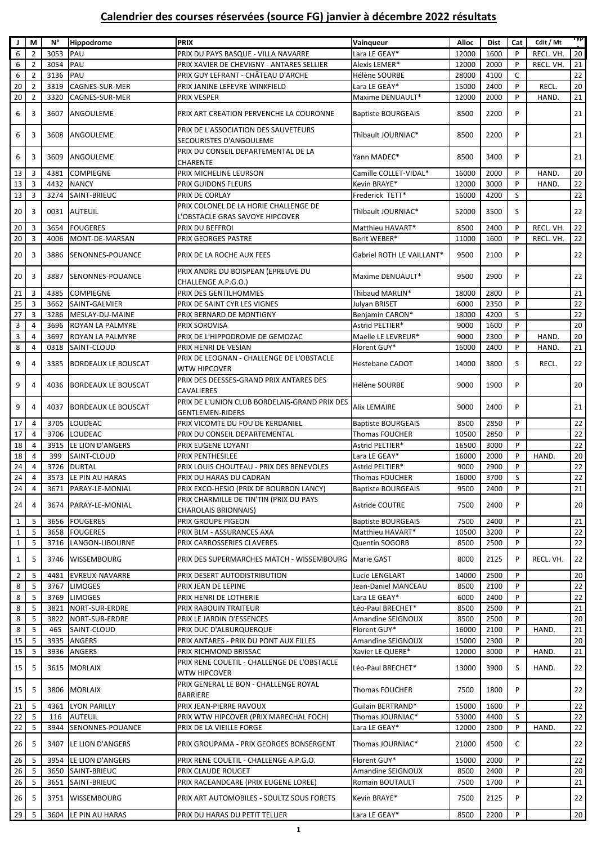## **Calendrier des courses réservées (source FG) janvier à décembre 2022 résultats**

|                |                | N°   | <b>Hippodrome</b>          | <b>PRIX</b>                                   |                           |       |             |     |           | i yp            |
|----------------|----------------|------|----------------------------|-----------------------------------------------|---------------------------|-------|-------------|-----|-----------|-----------------|
| J   M          |                |      |                            |                                               | Vainqueur                 | Alloc | <b>Dist</b> | Cat | Cdit / Mt |                 |
| 6              | 2              | 3053 | PAU                        | PRIX DU PAYS BASQUE - VILLA NAVARRE           | Lara LE GEAY*             | 12000 | 1600        | P   | RECL. VH. | 20              |
| 6              | $\overline{2}$ | 3054 | PAU                        | PRIX XAVIER DE CHEVIGNY - ANTARES SELLIER     | Alexis LEMER*             | 12000 | 2000        | P   | RECL. VH. | 21              |
| 6              | $\overline{2}$ | 3136 | PAU                        | PRIX GUY LEFRANT - CHÂTEAU D'ARCHE            | Hélène SOURBE             | 28000 | 4100        | C   |           | 22              |
| 20             | $\overline{2}$ | 3319 | CAGNES-SUR-MER             | PRIX JANINE LEFEVRE WINKFIELD                 | Lara LE GEAY*             | 15000 | 2400        | P   | RECL.     | 20              |
| 20             | $\overline{2}$ | 3320 | CAGNES-SUR-MER             | <b>PRIX VESPER</b>                            | Maxime DENUAULT*          | 12000 | 2000        | P   | HAND.     | 21              |
| 6              | 3              | 3607 | ANGOULEME                  | PRIX ART CREATION PERVENCHE LA COURONNE       | <b>Baptiste BOURGEAIS</b> | 8500  | 2200        | P   |           | 21              |
|                |                |      |                            |                                               |                           |       |             |     |           |                 |
| 6              | 3              | 3608 | ANGOULEME                  | PRIX DE L'ASSOCIATION DES SAUVETEURS          | Thibault JOURNIAC*        | 8500  | 2200        | P   |           | 21              |
|                |                |      |                            | SECOURISTES D'ANGOULEME                       |                           |       |             |     |           |                 |
| 6              | 3              | 3609 | ANGOULEME                  | PRIX DU CONSEIL DEPARTEMENTAL DE LA           | Yann MADEC*               | 8500  | 3400        | P   |           | 21              |
|                |                |      |                            | CHARENTE                                      |                           |       |             |     |           |                 |
| 13             | 3              | 4381 | <b>COMPIEGNE</b>           | PRIX MICHELINE LEURSON                        | Camille COLLET-VIDAL*     | 16000 | 2000        | P   | HAND.     | 20              |
| 13             | 3              | 4432 | <b>NANCY</b>               | PRIX GUIDONS FLEURS                           | Kevin BRAYE*              | 12000 | 3000        | P   | HAND.     | 22              |
| 13             | 3              | 3274 | SAINT-BRIEUC               | PRIX DE CORLAY                                | Frederick TETT*           | 16000 | 4200        | S   |           | 22              |
| 20             | 3              |      | 0031 AUTEUIL               | PRIX COLONEL DE LA HORIE CHALLENGE DE         | Thibault JOURNIAC*        | 52000 | 3500        | S   |           | 22              |
|                |                |      |                            | L'OBSTACLE GRAS SAVOYE HIPCOVER               |                           |       |             |     |           |                 |
| 20             | 3              | 3654 | <b>FOUGERES</b>            | PRIX DU BEFFROI                               | Matthieu HAVART*          | 8500  | 2400        | P   | RECL. VH. | 22              |
| 20             | 3              | 4006 | MONT-DE-MARSAN             | PRIX GEORGES PASTRE                           | Berit WEBER*              | 11000 | 1600        | P   | RECL. VH. | 22              |
| 20             | 3              | 3886 | SENONNES-POUANCE           | PRIX DE LA ROCHE AUX FEES                     | Gabriel ROTH LE VAILLANT* | 9500  | 2100        | P   |           | 22              |
|                |                |      |                            |                                               |                           |       |             |     |           |                 |
| 20             | 3              | 3887 | <b>SENONNES-POUANCE</b>    | PRIX ANDRE DU BOISPEAN (EPREUVE DU            | Maxime DENUAULT*          | 9500  | 2900        | P   |           | 22              |
|                |                |      |                            | CHALLENGE A.P.G.O.)                           |                           |       |             |     |           |                 |
| 21             | 3              | 4385 | <b>COMPIEGNE</b>           | PRIX DES GENTILHOMMES                         | Thibaud MARLIN*           | 18000 | 2800        | P   |           | $\overline{21}$ |
| 25             | 3              | 3662 | SAINT-GALMIER              | PRIX DE SAINT CYR LES VIGNES                  | Julyan BRISET             | 6000  | 2350        | P   |           | 22              |
| 27             | 3              | 3286 | MESLAY-DU-MAINE            | PRIX BERNARD DE MONTIGNY                      | Benjamin CARON*           | 18000 | 4200        | S   |           | 22              |
| 3              | 4              | 3696 | <b>ROYAN LA PALMYRE</b>    | PRIX SOROVISA                                 | Astrid PELTIER*           | 9000  | 1600        | P   |           | 20              |
| 3              | 4              | 3697 | ROYAN LA PALMYRE           | PRIX DE L'HIPPODROME DE GEMOZAC               | Maelle LE LEVREUR*        | 9000  | 2300        | P   | HAND.     | 20              |
| 8              | 4              | 0318 | SAINT-CLOUD                | PRIX HENRI DE VESIAN                          | Florent GUY*              | 16000 | 2400        | P   | HAND.     | 21              |
|                |                |      |                            | PRIX DE LEOGNAN - CHALLENGE DE L'OBSTACLE     |                           |       |             |     |           |                 |
| 9              | 4              | 3385 | <b>BORDEAUX LE BOUSCAT</b> | <b>WTW HIPCOVER</b>                           | Hestebane CADOT           | 14000 | 3800        | S   | RECL.     | 22              |
|                |                |      |                            | PRIX DES DEESSES-GRAND PRIX ANTARES DES       |                           |       |             |     |           |                 |
| 9              | 4              | 4036 | BORDEAUX LE BOUSCAT        | CAVALIERES                                    | Hélène SOURBE             | 9000  | 1900        | P   |           | 20              |
|                |                |      |                            | PRIX DE L'UNION CLUB BORDELAIS-GRAND PRIX DES |                           |       |             |     |           |                 |
| 9              | 4              | 4037 | <b>BORDEAUX LE BOUSCAT</b> | <b>GENTLEMEN-RIDERS</b>                       | Alix LEMAIRE              | 9000  | 2400        | P   |           | 21              |
| 17             | 4              | 3705 | LOUDEAC                    | PRIX VICOMTE DU FOU DE KERDANIEL              | <b>Baptiste BOURGEAIS</b> | 8500  | 2850        | P   |           | 22              |
| 17             | 4              | 3706 | LOUDEAC                    | PRIX DU CONSEIL DEPARTEMENTAL                 | <b>Thomas FOUCHER</b>     | 10500 | 2850        | P   |           | 22              |
|                |                |      | LE LION D'ANGERS           |                                               | Astrid PELTIER*           |       |             | P   |           | $\overline{22}$ |
| 18             | 4              | 3915 |                            | PRIX EUGENE LOYANT                            |                           | 16500 | 3000        |     |           |                 |
| 18             | 4              | 399  | SAINT-CLOUD                | PRIX PENTHESILEE                              | Lara LE GEAY*             | 16000 | 2000        | P   | HAND.     | 20              |
| 24             | 4              | 3726 | <b>DURTAL</b>              | PRIX LOUIS CHOUTEAU - PRIX DES BENEVOLES      | Astrid PELTIER*           | 9000  | 2900        | P   |           | $22\,$          |
| 24             | 4              |      | 3573 LE PIN AU HARAS       | PRIX DU HARAS DU CADRAN                       | <b>Thomas FOUCHER</b>     | 16000 | 3700        | S   |           | 22              |
| 24             | 4              |      | 3671 PARAY-LE-MONIAL       | PRIX EXCO-HESIO (PRIX DE BOURBON LANCY)       | <b>Baptiste BOURGEAIS</b> | 9500  | 2400        | P   |           | 21              |
| 24             | 4              |      | 3674 PARAY-LE-MONIAL       | PRIX CHARMILLE DE TIN'TIN (PRIX DU PAYS       | <b>Astride COUTRE</b>     | 7500  | 2400        | P   |           | 20 <sup>1</sup> |
|                |                |      |                            | <b>CHAROLAIS BRIONNAIS)</b>                   |                           |       |             |     |           |                 |
| $\mathbf{1}$   | 5              | 3656 | <b>FOUGERES</b>            | PRIX GROUPE PIGEON                            | <b>Baptiste BOURGEAIS</b> | 7500  | 2400        | P   |           | 21              |
| $\mathbf{1}$   | 5              |      | 3658 FOUGERES              | PRIX BLM - ASSURANCES AXA                     | Matthieu HAVART*          | 10500 | 3200        | P   |           | 22              |
| $\mathbf{1}$   | 5              |      | 3716 LANGON-LIBOURNE       | PRIX CARROSSERIES CLAVERES                    | Quentin SOGORB            | 8500  | 2500        | P   |           | 22              |
| $\mathbf{1}$   | 5              |      | 3746 WISSEMBOURG           | PRIX DES SUPERMARCHES MATCH - WISSEMBOURG     | Marie GAST                | 8000  | 2125        | P   | RECL. VH. | 22              |
|                |                |      |                            |                                               |                           |       |             |     |           |                 |
| $2^{\circ}$    | 5              | 4481 | EVREUX-NAVARRE             | PRIX DESERT AUTODISTRIBUTION                  | Lucie LENGLART            | 14000 | 2500        | P   |           | 20              |
| 8              | 5              |      | 3767 LIMOGES               | PRIX JEAN DE LEPINE                           | Jean-Daniel MANCEAU       | 8500  | 2100        | P   |           | 22              |
| 8              | 5              |      | 3769 LIMOGES               | PRIX HENRI DE LOTHERIE                        | Lara LE GEAY*             | 6000  | 2400        | P   |           | $\overline{22}$ |
| 8 <sup>1</sup> | 5              | 3821 | NORT-SUR-ERDRE             | PRIX RABOUIN TRAITEUR                         | Léo-Paul BRECHET*         | 8500  | 2500        | P   |           | 21              |
| 8              | 5              | 3822 | NORT-SUR-ERDRE             | PRIX LE JARDIN D'ESSENCES                     | Amandine SEIGNOUX         | 8500  | 2500        | P   |           | 20              |
| 8              | 5              | 465  | SAINT-CLOUD                | PRIX DUC D'ALBURQUERQUE                       | Florent GUY*              | 16000 | 2100        | P   | HAND.     | 21              |
| 15             | 5              |      | 3935 ANGERS                | PRIX ANTARES - PRIX DU PONT AUX FILLES        | Amandine SEIGNOUX         | 15000 | 2300        | P   |           | 20              |
| 15             | 5              |      | 3936 ANGERS                | PRIX RICHMOND BRISSAC                         | Xavier LE QUERE*          | 12000 | 3000        | P   | HAND.     | 21              |
| 15             | 5              |      | 3615 MORLAIX               | PRIX RENE COUETIL - CHALLENGE DE L'OBSTACLE   | Léo-Paul BRECHET*         | 13000 | 3900        | S   | HAND.     | 22              |
|                |                |      |                            | WTW HIPCOVER                                  |                           |       |             |     |           |                 |
|                |                |      |                            | PRIX GENERAL LE BON - CHALLENGE ROYAL         |                           |       |             | P   |           |                 |
| 15             | 5              |      | 3806 MORLAIX               | <b>BARRIERE</b>                               | Thomas FOUCHER            | 7500  | 1800        |     |           | 22              |
| 21             | 5              |      | 4361 LYON PARILLY          | PRIX JEAN-PIERRE RAVOUX                       | Guilain BERTRAND*         | 15000 | 1600        | P   |           | 22              |
| 22             | 5              | 116  | AUTEUIL                    | PRIX WTW HIPCOVER (PRIX MARECHAL FOCH)        | Thomas JOURNIAC*          | 53000 | 4400        | S   |           | 22              |
| 22             | 5              | 3944 | SENONNES-POUANCE           | PRIX DE LA VIEILLE FORGE                      | Lara LE GEAY*             | 12000 | 2300        | P   | HAND.     | 22              |
|                |                |      |                            |                                               |                           |       |             |     |           |                 |
| 26             | 5              |      | 3407 LE LION D'ANGERS      | PRIX GROUPAMA - PRIX GEORGES BONSERGENT       | Thomas JOURNIAC*          | 21000 | 4500        | C   |           | 22              |
| 26             | 5              | 3954 | LE LION D'ANGERS           | PRIX RENE COUETIL - CHALLENGE A.P.G.O.        | Florent GUY*              | 15000 | 2000        | P   |           | 22              |
| 26             | 5              |      | 3650 SAINT-BRIEUC          | PRIX CLAUDE ROUGET                            | Amandine SEIGNOUX         | 8500  | 2400        | P   |           | 20              |
| 26             | 5              | 3651 | SAINT-BRIEUC               | PRIX RACEANDCARE (PRIX EUGENE LOREE)          | Romain BOUTAULT           | 7500  | 1700        | P   |           | 21              |
|                |                |      |                            |                                               |                           |       |             |     |           |                 |
| 26             | 5              |      | 3751 WISSEMBOURG           | PRIX ART AUTOMOBILES - SOULTZ SOUS FORETS     | Kevin BRAYE*              | 7500  | 2125        | P   |           | 22              |
| 29             | 5              |      | 3604 LE PIN AU HARAS       | PRIX DU HARAS DU PETIT TELLIER                | Lara LE GEAY*             | 8500  | 2200        | P   |           | 20 <sub>2</sub> |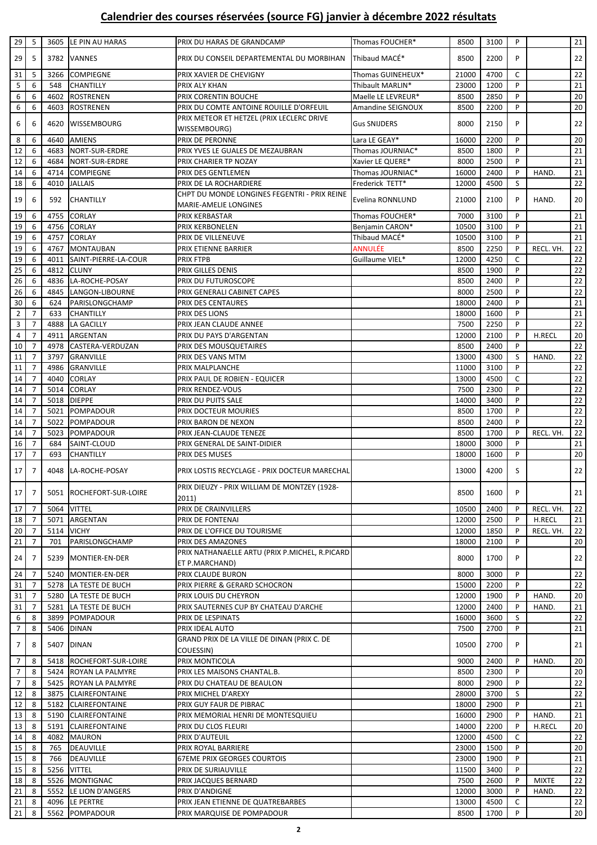## **Calendrier des courses réservées (source FG) janvier à décembre 2022 résultats**

| 29              | 5              | 3605              | LE PIN AU HARAS          | PRIX DU HARAS DE GRANDCAMP                     | Thomas FOUCHER*     | 8500  | 3100 | P            |              | 21     |
|-----------------|----------------|-------------------|--------------------------|------------------------------------------------|---------------------|-------|------|--------------|--------------|--------|
|                 |                |                   |                          |                                                |                     |       |      |              |              |        |
| 29              | 5              | 3782              | <b>VANNES</b>            | PRIX DU CONSEIL DEPARTEMENTAL DU MORBIHAN      | Thibaud MACÉ*       | 8500  | 2200 | P            |              | 22     |
|                 |                |                   |                          |                                                |                     |       |      |              |              |        |
| 31              | 5              | 3266              | <b>COMPIEGNE</b>         | PRIX XAVIER DE CHEVIGNY                        | Thomas GUINEHEUX*   | 21000 | 4700 | $\mathsf C$  |              | 22     |
| 5               | 6              | 548               | <b>CHANTILLY</b>         | PRIX ALY KHAN                                  | Thibault MARLIN*    | 23000 | 1200 | P            |              | 21     |
| 6               | 6              | 4602              | <b>ROSTRENEN</b>         | PRIX CORENTIN BOUCHE                           | Maelle LE LEVREUR*  | 8500  | 2850 | P            |              | 20     |
| 6               | 6              | 4603              | <b>ROSTRENEN</b>         | PRIX DU COMTE ANTOINE ROUILLE D'ORFEUIL        | Amandine SEIGNOUX   | 8500  | 2200 | P            |              | 20     |
|                 |                |                   |                          | PRIX METEOR ET HETZEL (PRIX LECLERC DRIVE      |                     |       |      |              |              |        |
| 6               | 6              | 4620              | <b>WISSEMBOURG</b>       | WISSEMBOURG)                                   | <b>Gus SNIJDERS</b> | 8000  | 2150 | P            |              | 22     |
|                 |                |                   |                          |                                                |                     |       |      | P            |              |        |
| 8               | 6              | 4640              | <b>AMIENS</b>            | PRIX DE PERONNE                                | Lara LE GEAY*       | 16000 | 2200 |              |              | 20     |
| 12              | 6              | 4683              | NORT-SUR-ERDRE           | PRIX YVES LE GUALES DE MEZAUBRAN               | Thomas JOURNIAC*    | 8500  | 1800 | P            |              | 21     |
| 12              | 6              | 4684              | NORT-SUR-ERDRE           | PRIX CHARIER TP NOZAY                          | Xavier LE QUERE*    | 8000  | 2500 | P            |              | 21     |
| 14              | 6              |                   | 4714 COMPIEGNE           | PRIX DES GENTLEMEN                             | Thomas JOURNIAC*    | 16000 | 2400 | P            | HAND.        | 21     |
| 18              | 6              | 4010              | <b>JALLAIS</b>           | PRIX DE LA ROCHARDIERE                         | Frederick TETT*     | 12000 | 4500 | S            |              | 22     |
|                 |                |                   |                          | CHPT DU MONDE LONGINES FEGENTRI - PRIX REINE   |                     |       |      |              |              |        |
| 19              | 6              | 592               | <b>CHANTILLY</b>         | MARIE-AMELIE LONGINES                          | Evelina RONNLUND    | 21000 | 2100 | P            | HAND.        | 20     |
| 19              | 6              | 4755              | <b>CORLAY</b>            | PRIX KERBASTAR                                 | Thomas FOUCHER*     | 7000  | 3100 | P            |              | 21     |
|                 |                |                   |                          |                                                |                     |       |      | P            |              |        |
| 19              | 6              | 4756              | <b>CORLAY</b>            | PRIX KERBONELEN                                | Benjamin CARON*     | 10500 | 3100 |              |              | 21     |
| 19              | 6              | 4757              | <b>CORLAY</b>            | PRIX DE VILLENEUVE                             | Thibaud MACÉ*       | 10500 | 3100 | P            |              | 21     |
| 19              | 6              |                   | 4767 MONTAUBAN           | PRIX ETIENNE BARRIER                           | ANNULÉE             | 8500  | 2250 | P            | RECL. VH.    | 22     |
| 19              | 6              | 4011              | SAINT-PIERRE-LA-COUR     | PRIX FTPB                                      | Guillaume VIEL*     | 12000 | 4250 | C            |              | 22     |
| 25              | 6              | 4812              | <b>CLUNY</b>             | PRIX GILLES DENIS                              |                     | 8500  | 1900 | P            |              | 22     |
| 26              | 6              |                   | 4836 LA-ROCHE-POSAY      | PRIX DU FUTUROSCOPE                            |                     | 8500  | 2400 | P            |              | 22     |
| 26              | 6              | 4845              | LANGON-LIBOURNE          | PRIX GENERALI CABINET CAPES                    |                     | 8000  | 2500 | P            |              | 22     |
| 30 <sup>°</sup> | 6              | 624               | <b>PARISLONGCHAMP</b>    | PRIX DES CENTAURES                             |                     | 18000 | 2400 | P            |              | 21     |
|                 | $\overline{7}$ |                   |                          |                                                |                     |       |      | P            |              | 21     |
| $\overline{2}$  |                | 633               | <b>CHANTILLY</b>         | PRIX DES LIONS                                 |                     | 18000 | 1600 |              |              |        |
| 3               | $\overline{7}$ | 4888              | LA GACILLY               | PRIX JEAN CLAUDE ANNEE                         |                     | 7500  | 2250 | P            |              | 22     |
| 4               | $\overline{7}$ | 4911              | ARGENTAN                 | PRIX DU PAYS D'ARGENTAN                        |                     | 12000 | 2100 | P            | H.RECL       | 20     |
| 10              | $\overline{7}$ | 4978              | CASTERA-VERDUZAN         | PRIX DES MOUSQUETAIRES                         |                     | 8500  | 2400 | P            |              | 22     |
| 11              | $\overline{7}$ |                   | 3797 GRANVILLE           | PRIX DES VANS MTM                              |                     | 13000 | 4300 | S            | HAND.        | 22     |
| 11              | $\overline{7}$ | 4986              | <b>GRANVILLE</b>         | PRIX MALPLANCHE                                |                     | 11000 | 3100 | P            |              | 22     |
| 14              | $\overline{7}$ | 4040              | <b>CORLAY</b>            | PRIX PAUL DE ROBIEN - EQUICER                  |                     | 13000 | 4500 | C            |              | 22     |
| 14              | $\overline{7}$ |                   | 5014 CORLAY              | PRIX RENDEZ-VOUS                               |                     | 7500  | 2300 | P            |              | 22     |
|                 | $\overline{7}$ | 5018              | <b>DIEPPE</b>            |                                                |                     | 14000 | 3400 | P            |              | 22     |
| 14              |                |                   |                          | PRIX DU PUITS SALE                             |                     |       |      |              |              |        |
| 14              | $\overline{7}$ | 5021              | POMPADOUR                | PRIX DOCTEUR MOURIES                           |                     | 8500  | 1700 | P            |              | 22     |
| 14              | $\overline{7}$ | 5022              | POMPADOUR                | PRIX BARON DE NEXON                            |                     | 8500  | 2400 | P            |              | 22     |
| 14              | $\overline{7}$ | 5023              | <b>POMPADOUR</b>         | PRIX JEAN-CLAUDE TENEZE                        |                     | 8500  | 1700 | P            | RECL. VH.    | 22     |
| 16              | $\overline{7}$ | 684               | SAINT-CLOUD              | PRIX GENERAL DE SAINT-DIDIER                   |                     | 18000 | 3000 | P            |              | 21     |
| 17              | $\overline{7}$ | 693               | CHANTILLY                | PRIX DES MUSES                                 |                     | 18000 | 1600 | P            |              | 20     |
|                 |                |                   |                          |                                                |                     |       |      |              |              |        |
| 17 <sup>1</sup> | $\overline{7}$ | 4048              | <b>LA-ROCHE-POSAY</b>    | PRIX LOSTIS RECYCLAGE - PRIX DOCTEUR MARECHAL  |                     | 13000 | 4200 | S            |              | 22     |
|                 |                |                   |                          | PRIX DIEUZY - PRIX WILLIAM DE MONTZEY (1928-   |                     |       |      |              |              |        |
| 17 <sup>1</sup> | $\overline{7}$ |                   | 5051 ROCHEFORT-SUR-LOIRE |                                                |                     | 8500  | 1600 | P            |              | 21     |
|                 |                |                   |                          | 2011)                                          |                     |       |      |              |              |        |
| 17              | 7              |                   | 5064 VITTEL              | PRIX DE CRAINVILLERS                           |                     | 10500 | 2400 | P            | RECL. VH.    | 22     |
| 18              | $\overline{7}$ | 5071              | ARGENTAN                 | PRIX DE FONTENAI                               |                     | 12000 | 2500 | P            | H.RECL       | 21     |
| 20              | $\overline{7}$ | <b>5114 VICHY</b> |                          | PRIX DE L'OFFICE DU TOURISME                   |                     | 12000 | 1850 | P            | RECL. VH.    | 22     |
| 21              | 7              | 701               | PARISLONGCHAMP           | PRIX DES AMAZONES                              |                     | 18000 | 2100 | P            |              | 20     |
|                 |                |                   |                          | PRIX NATHANAELLE ARTU (PRIX P.MICHEL, R.PICARD |                     |       |      |              |              |        |
| 24              | 7              | 5239              | MONTIER-EN-DER           | ET P.MARCHAND)                                 |                     | 8000  | 1700 | P            |              | 22     |
| 24              | 7              | 5240              | MONTIER-EN-DER           | PRIX CLAUDE BURON                              |                     | 8000  | 3000 | P            |              | 22     |
| 31              | $\overline{7}$ |                   | 5278 LA TESTE DE BUCH    | PRIX PIERRE & GERARD SCHOCRON                  |                     | 15000 | 2200 | P            |              | 22     |
| 31              | $\overline{7}$ |                   |                          |                                                |                     |       |      | P            |              | 20     |
|                 |                |                   | 5280 LA TESTE DE BUCH    | PRIX LOUIS DU CHEYRON                          |                     | 12000 | 1900 |              | HAND.        |        |
| 31              | 7              | 5281              | LA TESTE DE BUCH         | PRIX SAUTERNES CUP BY CHATEAU D'ARCHE          |                     | 12000 | 2400 | P            | HAND.        | 21     |
| 6               | 8              |                   | 3899 POMPADOUR           | PRIX DE LESPINATS                              |                     | 16000 | 3600 | S            |              | 22     |
| $\overline{7}$  | 8              | 5406              | <b>DINAN</b>             | PRIX IDEAL AUTO                                |                     | 7500  | 2700 | P            |              | 21     |
| $\overline{7}$  | 8              | 5407              | <b>DINAN</b>             | GRAND PRIX DE LA VILLE DE DINAN (PRIX C. DE    |                     | 10500 | 2700 | P            |              | 21     |
|                 |                |                   |                          | COUESSIN)                                      |                     |       |      |              |              |        |
| $\overline{7}$  | 8              | 5418              | ROCHEFORT-SUR-LOIRE      | PRIX MONTICOLA                                 |                     | 9000  | 2400 | P            | HAND.        | 20     |
| $\overline{7}$  | 8              |                   | 5424 ROYAN LA PALMYRE    | PRIX LES MAISONS CHANTAL.B.                    |                     | 8500  | 2300 | P            |              | 20     |
| $\overline{7}$  | 8              |                   | 5425 ROYAN LA PALMYRE    | PRIX DU CHATEAU DE BEAULON                     |                     | 8000  | 2900 | P            |              | 22     |
|                 | 8              |                   | 3875 CLAIREFONTAINE      | PRIX MICHEL D'AREXY                            |                     | 28000 | 3700 | S            |              | 22     |
| 12              |                |                   |                          |                                                |                     |       |      |              |              |        |
| 12              | 8              | 5182              | <b>CLAIREFONTAINE</b>    | PRIX GUY FAUR DE PIBRAC                        |                     | 18000 | 2900 | P            |              | 21     |
| 13              | 8              |                   | 5190 CLAIREFONTAINE      | PRIX MEMORIAL HENRI DE MONTESQUIEU             |                     | 16000 | 2900 | P            | HAND.        | 21     |
| 13              | 8              |                   | 5191 CLAIREFONTAINE      | PRIX DU CLOS FLEURI                            |                     | 14000 | 2200 | P            | H.RECL       | 20     |
| 14              | 8              |                   | 4082 MAURON              | PRIX D'AUTEUIL                                 |                     | 12000 | 4500 | C            |              | 22     |
| 15              | 8              | 765               | DEAUVILLE                | PRIX ROYAL BARRIERE                            |                     | 23000 | 1500 | $\mathsf{P}$ |              | 20     |
| 15              | 8              | 766               | <b>DEAUVILLE</b>         | <b>67EME PRIX GEORGES COURTOIS</b>             |                     | 23000 | 1900 | P            |              | 21     |
| 15              | 8              |                   | 5256 VITTEL              | PRIX DE SURIAUVILLE                            |                     | 11500 | 3400 | P            |              | 22     |
| 18              | 8              |                   | 5526 MONTIGNAC           | PRIX JACQUES BERNARD                           |                     | 7500  | 2600 | P            | <b>MIXTE</b> | 22     |
| 21              | 8              |                   | 5552 LE LION D'ANGERS    | PRIX D'ANDIGNE                                 |                     |       | 3000 | P            | HAND.        | 22     |
|                 |                |                   |                          |                                                |                     | 12000 |      |              |              |        |
| 21              | 8              |                   | 4096 LE PERTRE           | PRIX JEAN ETIENNE DE QUATREBARBES              |                     | 13000 | 4500 | C            |              | 22     |
| 21              | 8              |                   | 5562 POMPADOUR           | PRIX MARQUISE DE POMPADOUR                     |                     | 8500  | 1700 | $\mathsf{P}$ |              | $20\,$ |